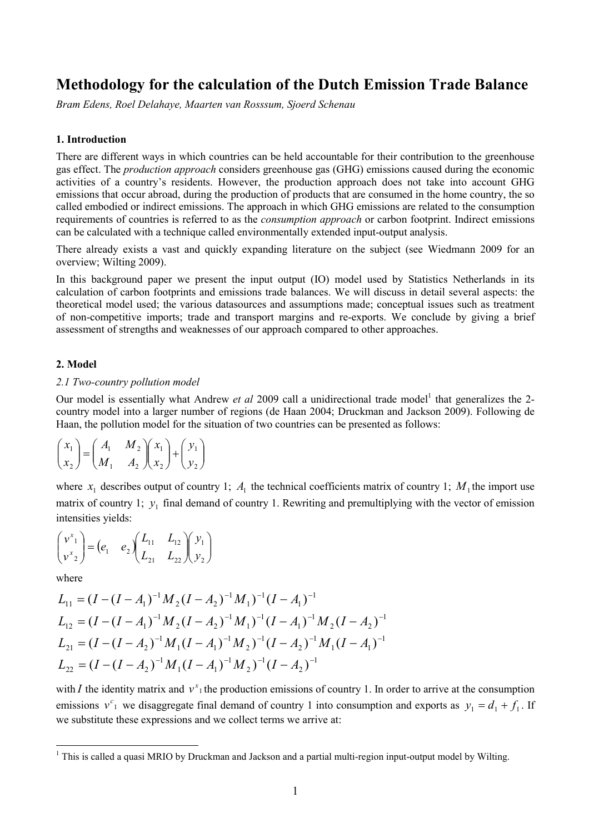# **Methodology for the calculation of the Dutch Emission Trade Balance**

*Bram Edens, Roel Delahaye, Maarten van Rosssum, Sjoerd Schenau* 

# **1. Introduction**

There are different ways in which countries can be held accountable for their contribution to the greenhouse gas effect. The *production approach* considers greenhouse gas (GHG) emissions caused during the economic activities of a country's residents. However, the production approach does not take into account GHG emissions that occur abroad, during the production of products that are consumed in the home country, the so called embodied or indirect emissions. The approach in which GHG emissions are related to the consumption requirements of countries is referred to as the *consumption approach* or carbon footprint. Indirect emissions can be calculated with a technique called environmentally extended input-output analysis.

There already exists a vast and quickly expanding literature on the subject (see Wiedmann 2009 for an overview; Wilting 2009).

In this background paper we present the input output (IO) model used by Statistics Netherlands in its calculation of carbon footprints and emissions trade balances. We will discuss in detail several aspects: the theoretical model used; the various datasources and assumptions made; conceptual issues such as treatment of non-competitive imports; trade and transport margins and re-exports. We conclude by giving a brief assessment of strengths and weaknesses of our approach compared to other approaches.

# **2. Model**

# *2.1 Two-country pollution model*

Our model is essentially what Andrew *et al* 2009 call a unidirectional trade model<sup>1</sup> that generalizes the 2country model into a larger number of regions (de Haan 2004; Druckman and Jackson 2009). Following de Haan, the pollution model for the situation of two countries can be presented as follows:

$$
\begin{pmatrix} x_1 \\ x_2 \end{pmatrix} = \begin{pmatrix} A_1 & M_2 \\ M_1 & A_2 \end{pmatrix} \begin{pmatrix} x_1 \\ x_2 \end{pmatrix} + \begin{pmatrix} y_1 \\ y_2 \end{pmatrix}
$$

where  $x_1$  describes output of country 1;  $A_1$  the technical coefficients matrix of country 1;  $M_1$  the import use matrix of country 1;  $y_1$  final demand of country 1. Rewriting and premultiplying with the vector of emission intensities yields:

$$
\begin{pmatrix} v^x_1 \\ v^x_2 \end{pmatrix} = \begin{pmatrix} e_1 & e_2 \end{pmatrix} \begin{pmatrix} L_{11} & L_{12} \\ L_{21} & L_{22} \end{pmatrix} \begin{pmatrix} y_1 \\ y_2 \end{pmatrix}
$$

where

$$
L_{11} = (I - (I - A_1)^{-1} M_2 (I - A_2)^{-1} M_1)^{-1} (I - A_1)^{-1}
$$
  
\n
$$
L_{12} = (I - (I - A_1)^{-1} M_2 (I - A_2)^{-1} M_1)^{-1} (I - A_1)^{-1} M_2 (I - A_2)^{-1}
$$
  
\n
$$
L_{21} = (I - (I - A_2)^{-1} M_1 (I - A_1)^{-1} M_2)^{-1} (I - A_2)^{-1} M_1 (I - A_1)^{-1}
$$
  
\n
$$
L_{22} = (I - (I - A_2)^{-1} M_1 (I - A_1)^{-1} M_2)^{-1} (I - A_2)^{-1}
$$

with *I* the identity matrix and  $v^x$ <sup>1</sup> the production emissions of country 1. In order to arrive at the consumption emissions  $v^c_1$  we disaggregate final demand of country 1 into consumption and exports as  $y_1 = d_1 + f_1$ . If we substitute these expressions and we collect terms we arrive at:

<sup>&</sup>lt;sup>1</sup> This is called a quasi MRIO by Druckman and Jackson and a partial multi-region input-output model by Wilting.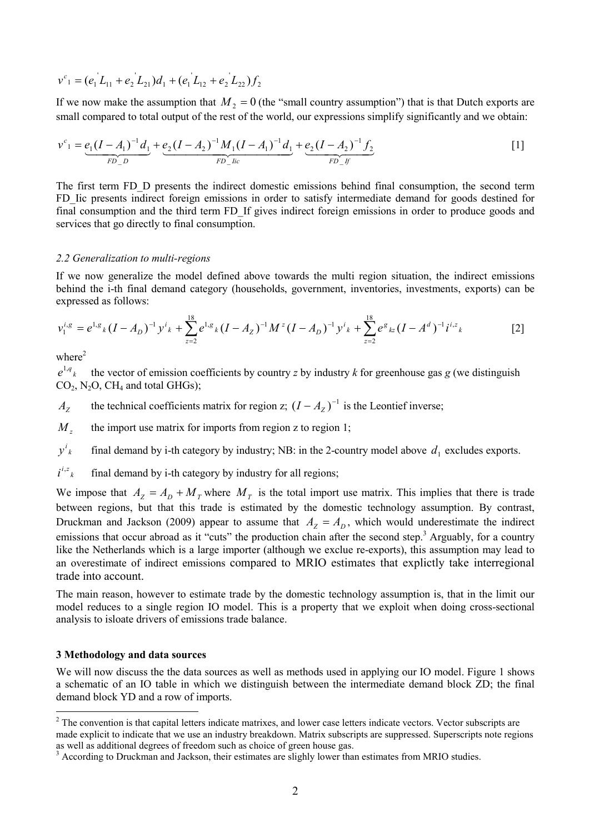$$
v^{c_1} = (e_1 L_{11} + e_2 L_{21})d_1 + (e_1 L_{12} + e_2 L_{22})f_2
$$

If we now make the assumption that  $M_2 = 0$  (the "small country assumption") that is that Dutch exports are small compared to total output of the rest of the world, our expressions simplify significantly and we obtain:

$$
v^{c_1} = \underbrace{e_1(I - A_1)^{-1}d_1}_{FD\_D} + \underbrace{e_2(I - A_2)^{-1}M_1(I - A_1)^{-1}d_1}_{FD\_lic} + \underbrace{e_2(I - A_2)^{-1}f_2}_{FD\_lf}
$$
 [1]

The first term FD\_D presents the indirect domestic emissions behind final consumption, the second term FD Iic presents indirect foreign emissions in order to satisfy intermediate demand for goods destined for final consumption and the third term FD\_If gives indirect foreign emissions in order to produce goods and services that go directly to final consumption.

#### *2.2 Generalization to multi-regions*

If we now generalize the model defined above towards the multi region situation, the indirect emissions behind the i-th final demand category (households, government, inventories, investments, exports) can be expressed as follows:

$$
v_1^{i,g} = e^{1,g} \, (I - A_D)^{-1} \, y^i \, k + \sum_{z=2}^{18} e^{1,g} \, k \, (I - A_Z)^{-1} \, M^z \, (I - A_D)^{-1} \, y^i \, k + \sum_{z=2}^{18} e^g \, k \, (I - A^d)^{-1} \, i^{i,z} \, k \tag{2}
$$

where $^2$ 

 $e^{1,q}$ <sub>*k*</sub> the vector of emission coefficients by country *z* by industry  $k$  for greenhouse gas  $g$  (we distinguish  $CO<sub>2</sub>$ , N<sub>2</sub>O, CH<sub>4</sub> and total GHGs);

 $A_Z$  the technical coefficients matrix for region z;  $(I - A_Z)^{-1}$  is the Leontief inverse;

*M*, the import use matrix for imports from region z to region 1;

 $v^i{}_k$ final demand by i-th category by industry; NB: in the 2-country model above  $d_1$  excludes exports.

 $i^{i,z}$ final demand by i-th category by industry for all regions;

We impose that  $A_z = A_D + M_T$  where  $M_T$  is the total import use matrix. This implies that there is trade between regions, but that this trade is estimated by the domestic technology assumption. By contrast, Druckman and Jackson (2009) appear to assume that  $A<sub>Z</sub> = A<sub>D</sub>$ , which would underestimate the indirect emissions that occur abroad as it "cuts" the production chain after the second step.<sup>3</sup> Arguably, for a country like the Netherlands which is a large importer (although we exclue re-exports), this assumption may lead to an overestimate of indirect emissions compared to MRIO estimates that explictly take interregional trade into account.

The main reason, however to estimate trade by the domestic technology assumption is, that in the limit our model reduces to a single region IO model. This is a property that we exploit when doing cross-sectional analysis to isloate drivers of emissions trade balance.

#### **3 Methodology and data sources**

We will now discuss the the data sources as well as methods used in applying our IO model. Figure 1 shows a schematic of an IO table in which we distinguish between the intermediate demand block ZD; the final demand block YD and a row of imports.

<sup>&</sup>lt;sup>2</sup> The convention is that capital letters indicate matrixes, and lower case letters indicate vectors. Vector subscripts are made explicit to indicate that we use an industry breakdown. Matrix subscripts are suppressed. Superscripts note regions as well as additional degrees of freedom such as choice of green house gas.

<sup>&</sup>lt;sup>3</sup> According to Druckman and Jackson, their estimates are slighly lower than estimates from MRIO studies.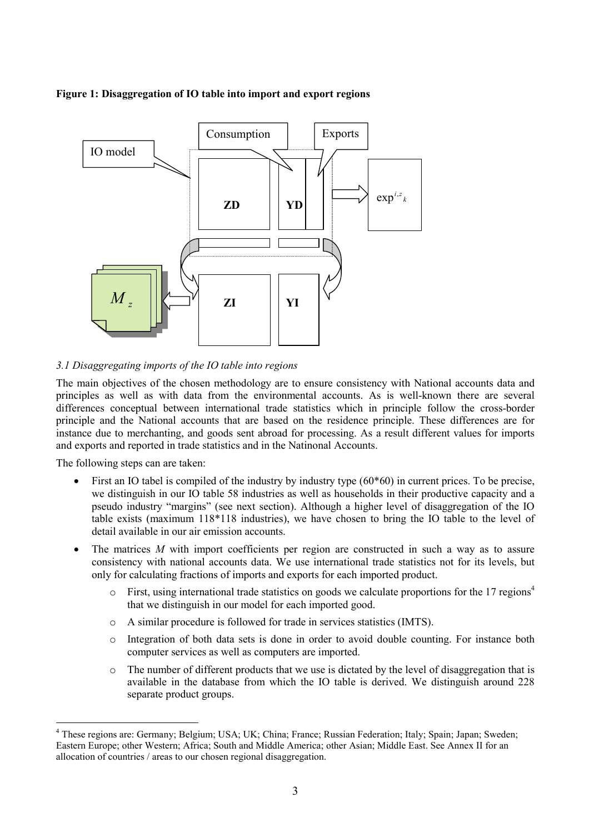# **Figure 1: Disaggregation of IO table into import and export regions**



# *3.1 Disaggregating imports of the IO table into regions*

The main objectives of the chosen methodology are to ensure consistency with National accounts data and principles as well as with data from the environmental accounts. As is well-known there are several differences conceptual between international trade statistics which in principle follow the cross-border principle and the National accounts that are based on the residence principle. These differences are for instance due to merchanting, and goods sent abroad for processing. As a result different values for imports and exports and reported in trade statistics and in the Natinonal Accounts.

The following steps can are taken:

- First an IO tabel is compiled of the industry by industry type (60\*60) in current prices. To be precise, we distinguish in our IO table 58 industries as well as households in their productive capacity and a pseudo industry "margins" (see next section). Although a higher level of disaggregation of the IO table exists (maximum 118\*118 industries), we have chosen to bring the IO table to the level of detail available in our air emission accounts.
- The matrices M with import coefficients per region are constructed in such a way as to assure consistency with national accounts data. We use international trade statistics not for its levels, but only for calculating fractions of imports and exports for each imported product.
	- $\circ$  First, using international trade statistics on goods we calculate proportions for the 17 regions<sup>4</sup> that we distinguish in our model for each imported good.
	- o A similar procedure is followed for trade in services statistics (IMTS).
	- o Integration of both data sets is done in order to avoid double counting. For instance both computer services as well as computers are imported.
	- $\circ$  The number of different products that we use is dictated by the level of disaggregation that is available in the database from which the IO table is derived. We distinguish around 228 separate product groups.

<sup>4</sup> These regions are: Germany; Belgium; USA; UK; China; France; Russian Federation; Italy; Spain; Japan; Sweden; Eastern Europe; other Western; Africa; South and Middle America; other Asian; Middle East. See Annex II for an allocation of countries / areas to our chosen regional disaggregation.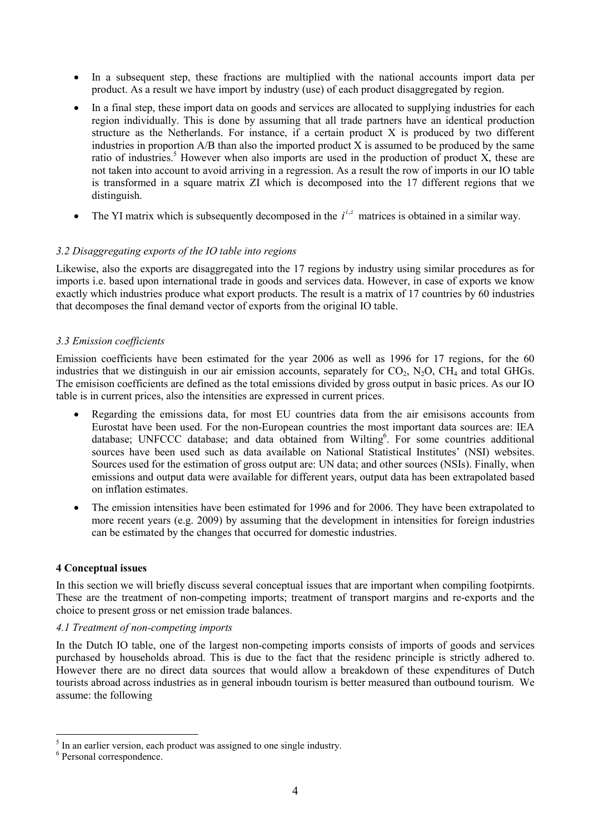- In a subsequent step, these fractions are multiplied with the national accounts import data per product. As a result we have import by industry (use) of each product disaggregated by region.
- In a final step, these import data on goods and services are allocated to supplying industries for each region individually. This is done by assuming that all trade partners have an identical production structure as the Netherlands. For instance, if a certain product X is produced by two different industries in proportion A/B than also the imported product X is assumed to be produced by the same ratio of industries.<sup>5</sup> However when also imports are used in the production of product X, these are not taken into account to avoid arriving in a regression. As a result the row of imports in our IO table is transformed in a square matrix ZI which is decomposed into the 17 different regions that we distinguish.
- The YI matrix which is subsequently decomposed in the  $i^{i,z}$  matrices is obtained in a similar way.

# *3.2 Disaggregating exports of the IO table into regions*

Likewise, also the exports are disaggregated into the 17 regions by industry using similar procedures as for imports i.e. based upon international trade in goods and services data. However, in case of exports we know exactly which industries produce what export products. The result is a matrix of 17 countries by 60 industries that decomposes the final demand vector of exports from the original IO table.

# *3.3 Emission coefficients*

Emission coefficients have been estimated for the year 2006 as well as 1996 for 17 regions, for the 60 industries that we distinguish in our air emission accounts, separately for  $CO_2$ , N<sub>2</sub>O, CH<sub>4</sub> and total GHGs. The emisison coefficients are defined as the total emissions divided by gross output in basic prices. As our IO table is in current prices, also the intensities are expressed in current prices.

- Regarding the emissions data, for most EU countries data from the air emisisons accounts from Eurostat have been used. For the non-European countries the most important data sources are: IEA database; UNFCCC database; and data obtained from Wilting<sup>6</sup>. For some countries additional sources have been used such as data available on National Statistical Institutes' (NSI) websites. Sources used for the estimation of gross output are: UN data; and other sources (NSIs). Finally, when emissions and output data were available for different years, output data has been extrapolated based on inflation estimates.
- The emission intensities have been estimated for 1996 and for 2006. They have been extrapolated to more recent years (e.g. 2009) by assuming that the development in intensities for foreign industries can be estimated by the changes that occurred for domestic industries.

# **4 Conceptual issues**

In this section we will briefly discuss several conceptual issues that are important when compiling footpirnts. These are the treatment of non-competing imports; treatment of transport margins and re-exports and the choice to present gross or net emission trade balances.

# *4.1 Treatment of non-competing imports*

In the Dutch IO table, one of the largest non-competing imports consists of imports of goods and services purchased by households abroad. This is due to the fact that the residenc principle is strictly adhered to. However there are no direct data sources that would allow a breakdown of these expenditures of Dutch tourists abroad across industries as in general inboudn tourism is better measured than outbound tourism. We assume: the following

<sup>&</sup>lt;sup>5</sup> In an earlier version, each product was assigned to one single industry.

<sup>6</sup> Personal correspondence.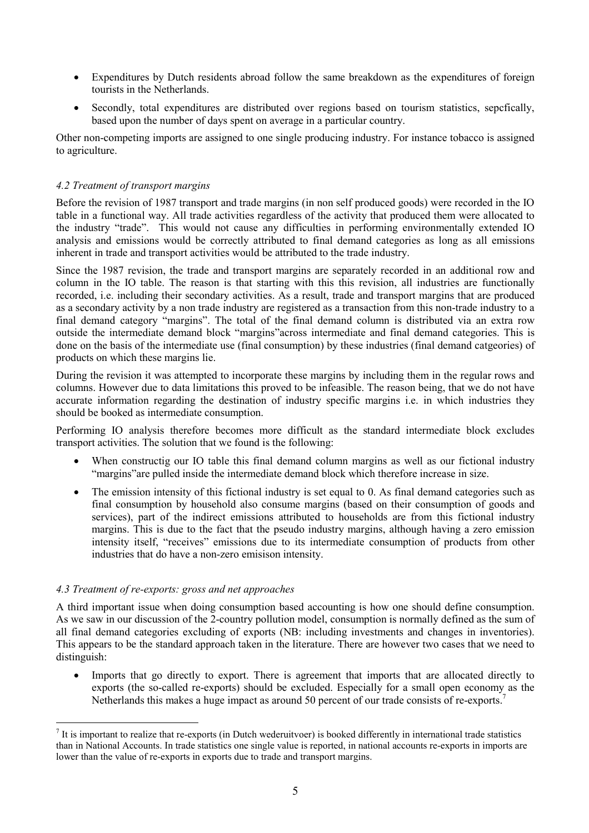- Expenditures by Dutch residents abroad follow the same breakdown as the expenditures of foreign tourists in the Netherlands.
- Secondly, total expenditures are distributed over regions based on tourism statistics, sepcfically, based upon the number of days spent on average in a particular country.

Other non-competing imports are assigned to one single producing industry. For instance tobacco is assigned to agriculture.

# *4.2 Treatment of transport margins*

Before the revision of 1987 transport and trade margins (in non self produced goods) were recorded in the IO table in a functional way. All trade activities regardless of the activity that produced them were allocated to the industry "trade". This would not cause any difficulties in performing environmentally extended IO analysis and emissions would be correctly attributed to final demand categories as long as all emissions inherent in trade and transport activities would be attributed to the trade industry.

Since the 1987 revision, the trade and transport margins are separately recorded in an additional row and column in the IO table. The reason is that starting with this this revision, all industries are functionally recorded, i.e. including their secondary activities. As a result, trade and transport margins that are produced as a secondary activity by a non trade industry are registered as a transaction from this non-trade industry to a final demand category "margins". The total of the final demand column is distributed via an extra row outside the intermediate demand block "margins"across intermediate and final demand categories. This is done on the basis of the intermediate use (final consumption) by these industries (final demand catgeories) of products on which these margins lie.

During the revision it was attempted to incorporate these margins by including them in the regular rows and columns. However due to data limitations this proved to be infeasible. The reason being, that we do not have accurate information regarding the destination of industry specific margins i.e. in which industries they should be booked as intermediate consumption.

Performing IO analysis therefore becomes more difficult as the standard intermediate block excludes transport activities. The solution that we found is the following:

- When constructig our IO table this final demand column margins as well as our fictional industry "margins"are pulled inside the intermediate demand block which therefore increase in size.
- The emission intensity of this fictional industry is set equal to 0. As final demand categories such as final consumption by household also consume margins (based on their consumption of goods and services), part of the indirect emissions attributed to households are from this fictional industry margins. This is due to the fact that the pseudo industry margins, although having a zero emission intensity itself, "receives" emissions due to its intermediate consumption of products from other industries that do have a non-zero emisison intensity.

# *4.3 Treatment of re-exports: gross and net approaches*

A third important issue when doing consumption based accounting is how one should define consumption. As we saw in our discussion of the 2-country pollution model, consumption is normally defined as the sum of all final demand categories excluding of exports (NB: including investments and changes in inventories). This appears to be the standard approach taken in the literature. There are however two cases that we need to distinguish:

• Imports that go directly to export. There is agreement that imports that are allocated directly to exports (the so-called re-exports) should be excluded. Especially for a small open economy as the Netherlands this makes a huge impact as around 50 percent of our trade consists of re-exports.7

 $<sup>7</sup>$  It is important to realize that re-exports (in Dutch wederuitvoer) is booked differently in international trade statistics</sup> than in National Accounts. In trade statistics one single value is reported, in national accounts re-exports in imports are lower than the value of re-exports in exports due to trade and transport margins.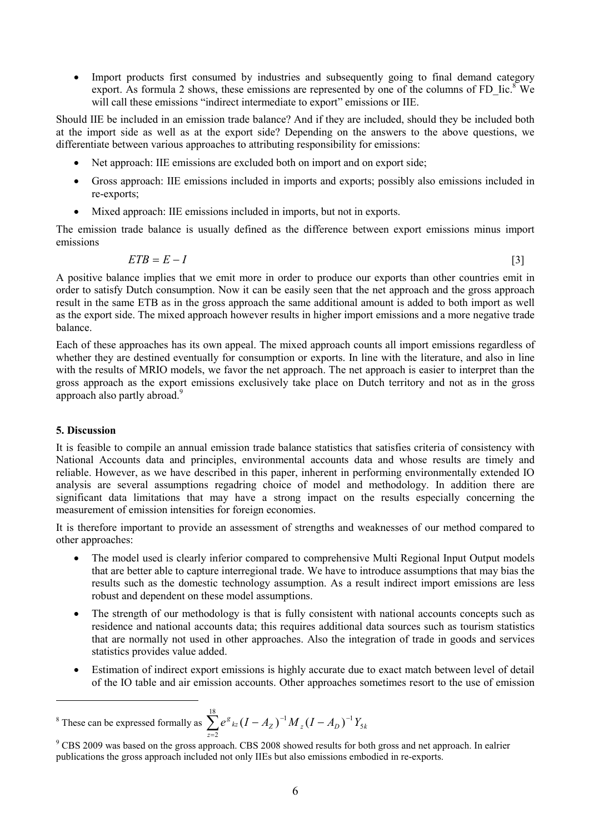• Import products first consumed by industries and subsequently going to final demand category export. As formula 2 shows, these emissions are represented by one of the columns of FD Iic.<sup>8</sup> We will call these emissions "indirect intermediate to export" emissions or IIE.

Should IIE be included in an emission trade balance? And if they are included, should they be included both at the import side as well as at the export side? Depending on the answers to the above questions, we differentiate between various approaches to attributing responsibility for emissions:

- Net approach: IIE emissions are excluded both on import and on export side:
- Gross approach: IIE emissions included in imports and exports; possibly also emissions included in re-exports;
- Mixed approach: IIE emissions included in imports, but not in exports.

The emission trade balance is usually defined as the difference between export emissions minus import emissions

$$
ETB = E - I \tag{3}
$$

A positive balance implies that we emit more in order to produce our exports than other countries emit in order to satisfy Dutch consumption. Now it can be easily seen that the net approach and the gross approach result in the same ETB as in the gross approach the same additional amount is added to both import as well as the export side. The mixed approach however results in higher import emissions and a more negative trade balance.

Each of these approaches has its own appeal. The mixed approach counts all import emissions regardless of whether they are destined eventually for consumption or exports. In line with the literature, and also in line with the results of MRIO models, we favor the net approach. The net approach is easier to interpret than the gross approach as the export emissions exclusively take place on Dutch territory and not as in the gross approach also partly abroad.<sup>9</sup>

# **5. Discussion**

It is feasible to compile an annual emission trade balance statistics that satisfies criteria of consistency with National Accounts data and principles, environmental accounts data and whose results are timely and reliable. However, as we have described in this paper, inherent in performing environmentally extended IO analysis are several assumptions regadring choice of model and methodology. In addition there are significant data limitations that may have a strong impact on the results especially concerning the measurement of emission intensities for foreign economies.

It is therefore important to provide an assessment of strengths and weaknesses of our method compared to other approaches:

- The model used is clearly inferior compared to comprehensive Multi Regional Input Output models that are better able to capture interregional trade. We have to introduce assumptions that may bias the results such as the domestic technology assumption. As a result indirect import emissions are less robust and dependent on these model assumptions.
- The strength of our methodology is that is fully consistent with national accounts concepts such as residence and national accounts data; this requires additional data sources such as tourism statistics that are normally not used in other approaches. Also the integration of trade in goods and services statistics provides value added.
- Estimation of indirect export emissions is highly accurate due to exact match between level of detail of the IO table and air emission accounts. Other approaches sometimes resort to the use of emission

<sup>8</sup> These can be expressed formally as  $\sum_{z=2}^{18} e^{s} k_z (I - A_z)^{-1} M_z (I - A_D)^{-1}$ 2  $(I - A_Z)^{-1} M_z (I - A_D)^{-1} Y_5$ *z*  $e^{g}$   $_{kz}(I - A_{Z})^{-1} M_{z}(I - A_{D})^{-1} Y_{5k}$ 

<sup>&</sup>lt;sup>9</sup> CBS 2009 was based on the gross approach. CBS 2008 showed results for both gross and net approach. In ealrier publications the gross approach included not only IIEs but also emissions embodied in re-exports.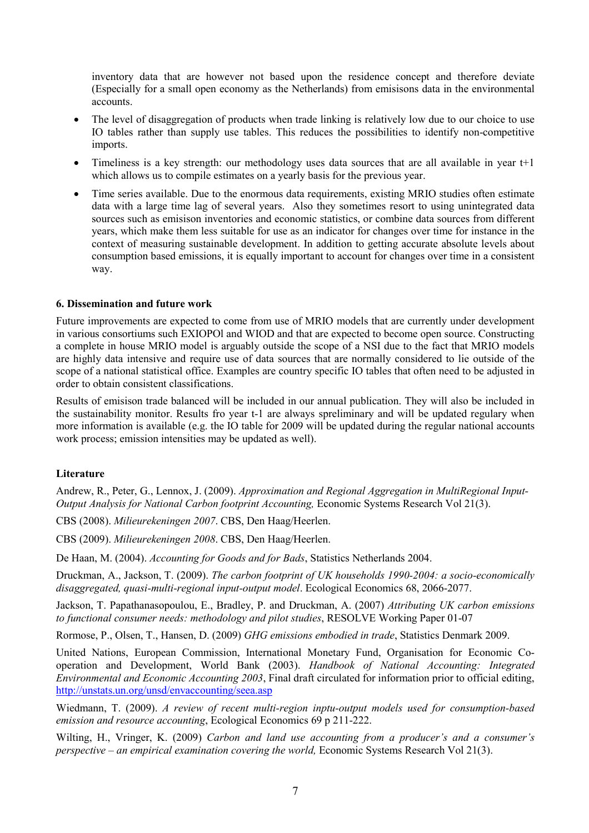inventory data that are however not based upon the residence concept and therefore deviate (Especially for a small open economy as the Netherlands) from emisisons data in the environmental accounts.

- The level of disaggregation of products when trade linking is relatively low due to our choice to use IO tables rather than supply use tables. This reduces the possibilities to identify non-competitive imports.
- Timeliness is a key strength: our methodology uses data sources that are all available in year t+1 which allows us to compile estimates on a yearly basis for the previous year.
- Time series available. Due to the enormous data requirements, existing MRIO studies often estimate data with a large time lag of several years. Also they sometimes resort to using unintegrated data sources such as emisison inventories and economic statistics, or combine data sources from different years, which make them less suitable for use as an indicator for changes over time for instance in the context of measuring sustainable development. In addition to getting accurate absolute levels about consumption based emissions, it is equally important to account for changes over time in a consistent way.

# **6. Dissemination and future work**

Future improvements are expected to come from use of MRIO models that are currently under development in various consortiums such EXIOPOl and WIOD and that are expected to become open source. Constructing a complete in house MRIO model is arguably outside the scope of a NSI due to the fact that MRIO models are highly data intensive and require use of data sources that are normally considered to lie outside of the scope of a national statistical office. Examples are country specific IO tables that often need to be adjusted in order to obtain consistent classifications.

Results of emisison trade balanced will be included in our annual publication. They will also be included in the sustainability monitor. Results fro year t-1 are always spreliminary and will be updated regulary when more information is available (e.g. the IO table for 2009 will be updated during the regular national accounts work process; emission intensities may be updated as well).

# **Literature**

Andrew, R., Peter, G., Lennox, J. (2009). *Approximation and Regional Aggregation in MultiRegional Input-Output Analysis for National Carbon footprint Accounting,* Economic Systems Research Vol 21(3).

CBS (2008). *Milieurekeningen 2007*. CBS, Den Haag/Heerlen.

CBS (2009). *Milieurekeningen 2008*. CBS, Den Haag/Heerlen.

De Haan, M. (2004). *Accounting for Goods and for Bads*, Statistics Netherlands 2004.

Druckman, A., Jackson, T. (2009). *The carbon footprint of UK households 1990-2004: a socio-economically disaggregated, quasi-multi-regional input-output model*. Ecological Economics 68, 2066-2077.

Jackson, T. Papathanasopoulou, E., Bradley, P. and Druckman, A. (2007) *Attributing UK carbon emissions to functional consumer needs: methodology and pilot studies*, RESOLVE Working Paper 01-07

Rormose, P., Olsen, T., Hansen, D. (2009) *GHG emissions embodied in trade*, Statistics Denmark 2009.

United Nations, European Commission, International Monetary Fund, Organisation for Economic Cooperation and Development, World Bank (2003). *Handbook of National Accounting: Integrated Environmental and Economic Accounting 2003*, Final draft circulated for information prior to official editing, http://unstats.un.org/unsd/envaccounting/seea.asp

Wiedmann, T. (2009). *A review of recent multi-region inptu-output models used for consumption-based emission and resource accounting*, Ecological Economics 69 p 211-222.

Wilting, H., Vringer, K. (2009) *Carbon and land use accounting from a producer's and a consumer's perspective – an empirical examination covering the world,* Economic Systems Research Vol 21(3).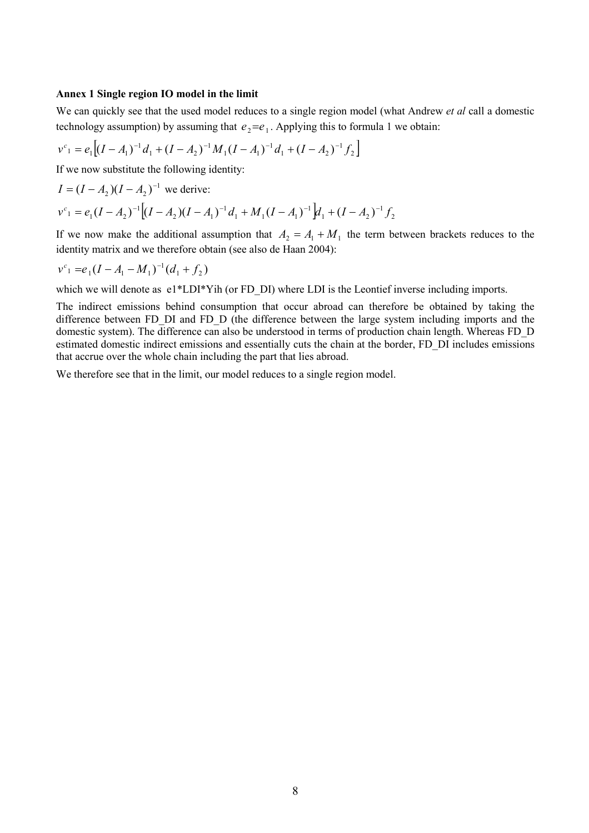#### **Annex 1 Single region IO model in the limit**

We can quickly see that the used model reduces to a single region model (what Andrew *et al* call a domestic technology assumption) by assuming that  $e_2 = e_1$ . Applying this to formula 1 we obtain:

$$
v^{c_1} = e_1 \Big[ (I - A_1)^{-1} d_1 + (I - A_2)^{-1} M_1 (I - A_1)^{-1} d_1 + (I - A_2)^{-1} f_2 \Big]
$$

If we now substitute the following identity:

$$
I = (I - A_2)(I - A_2)^{-1}
$$
 we derive:  

$$
v^{c_1} = e_1(I - A_2)^{-1}[(I - A_2)(I - A_1)^{-1}d_1 + M_1(I - A_1)^{-1}]d_1 + (I - A_2)^{-1}f_2
$$

If we now make the additional assumption that  $A_2 = A_1 + M_1$  the term between brackets reduces to the identity matrix and we therefore obtain (see also de Haan 2004):

$$
v^{c_1} = e_1(I - A_1 - M_1)^{-1}(d_1 + f_2)
$$

which we will denote as  $e1*LDI*Y$ ih (or FD\_DI) where LDI is the Leontief inverse including imports.

The indirect emissions behind consumption that occur abroad can therefore be obtained by taking the difference between FD\_DI and FD\_D (the difference between the large system including imports and the domestic system). The difference can also be understood in terms of production chain length. Whereas FD\_D estimated domestic indirect emissions and essentially cuts the chain at the border, FD\_DI includes emissions that accrue over the whole chain including the part that lies abroad.

We therefore see that in the limit, our model reduces to a single region model.